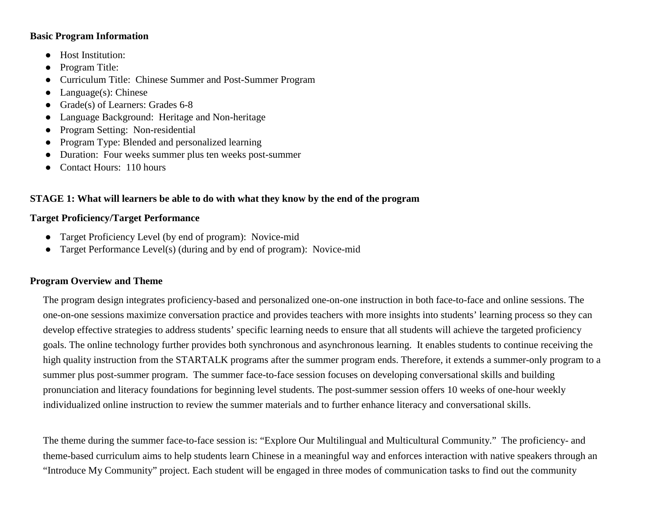#### **Basic Program Information**

- Host Institution:
- Program Title:
- Curriculum Title: Chinese Summer and Post-Summer Program
- $\bullet$  Language(s): Chinese
- Grade(s) of Learners: Grades 6-8
- Language Background: Heritage and Non-heritage
- Program Setting: Non-residential
- Program Type: Blended and personalized learning
- Duration: Four weeks summer plus ten weeks post-summer
- Contact Hours: 110 hours

# **STAGE 1: What will learners be able to do with what they know by the end of the program**

### **Target Proficiency/Target Performance**

- Target Proficiency Level (by end of program): Novice-mid
- Target Performance Level(s) (during and by end of program): Novice-mid

### **Program Overview and Theme**

The program design integrates proficiency-based and personalized one-on-one instruction in both face-to-face and online sessions. The one-on-one sessions maximize conversation practice and provides teachers with more insights into students' learning process so they can develop effective strategies to address students' specific learning needs to ensure that all students will achieve the targeted proficiency goals. The online technology further provides both synchronous and asynchronous learning. It enables students to continue receiving the high quality instruction from the STARTALK programs after the summer program ends. Therefore, it extends a summer-only program to a summer plus post-summer program. The summer face-to-face session focuses on developing conversational skills and building pronunciation and literacy foundations for beginning level students. The post-summer session offers 10 weeks of one-hour weekly individualized online instruction to review the summer materials and to further enhance literacy and conversational skills.

The theme during the summer face-to-face session is: "Explore Our Multilingual and Multicultural Community." The proficiency- and theme-based curriculum aims to help students learn Chinese in a meaningful way and enforces interaction with native speakers through an "Introduce My Community" project. Each student will be engaged in three modes of communication tasks to find out the community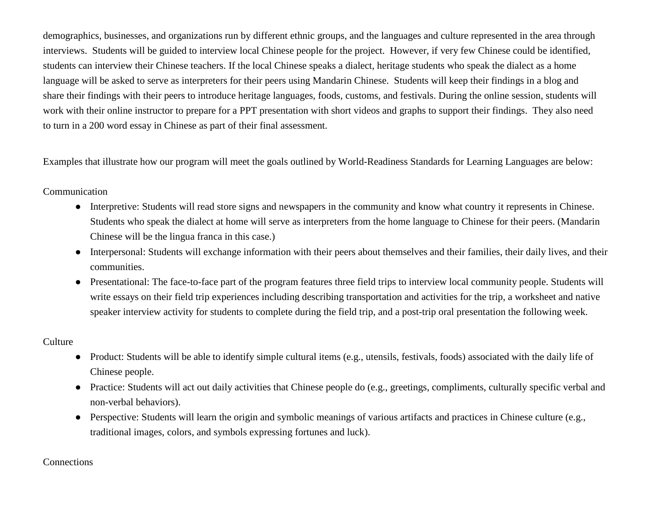demographics, businesses, and organizations run by different ethnic groups, and the languages and culture represented in the area through interviews. Students will be guided to interview local Chinese people for the project. However, if very few Chinese could be identified, students can interview their Chinese teachers. If the local Chinese speaks a dialect, heritage students who speak the dialect as a home language will be asked to serve as interpreters for their peers using Mandarin Chinese. Students will keep their findings in a blog and share their findings with their peers to introduce heritage languages, foods, customs, and festivals. During the online session, students will work with their online instructor to prepare for a PPT presentation with short videos and graphs to support their findings. They also need to turn in a 200 word essay in Chinese as part of their final assessment.

Examples that illustrate how our program will meet the goals outlined by World-Readiness Standards for Learning Languages are below:

#### Communication

- Interpretive: Students will read store signs and newspapers in the community and know what country it represents in Chinese. Students who speak the dialect at home will serve as interpreters from the home language to Chinese for their peers. (Mandarin Chinese will be the lingua franca in this case.)
- Interpersonal: Students will exchange information with their peers about themselves and their families, their daily lives, and their communities.
- Presentational: The face-to-face part of the program features three field trips to interview local community people. Students will write essays on their field trip experiences including describing transportation and activities for the trip, a worksheet and native speaker interview activity for students to complete during the field trip, and a post-trip oral presentation the following week.

### **Culture**

- Product: Students will be able to identify simple cultural items (e.g., utensils, festivals, foods) associated with the daily life of Chinese people.
- Practice: Students will act out daily activities that Chinese people do (e.g., greetings, compliments, culturally specific verbal and non-verbal behaviors).
- Perspective: Students will learn the origin and symbolic meanings of various artifacts and practices in Chinese culture (e.g., traditional images, colors, and symbols expressing fortunes and luck).

#### **Connections**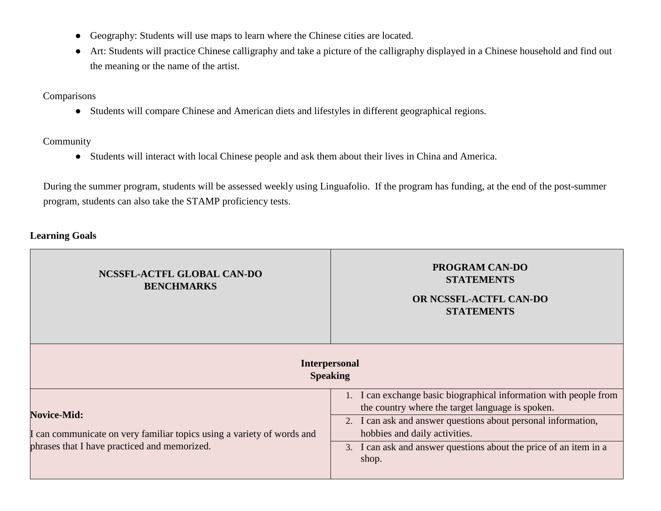- Geography: Students will use maps to learn where the Chinese cities are located.
- Art: Students will practice Chinese calligraphy and take a picture of the calligraphy displayed in a Chinese household and find out the meaning or the name of the artist.

### Comparisons

● Students will compare Chinese and American diets and lifestyles in different geographical regions.

#### Community

● Students will interact with local Chinese people and ask them about their lives in China and America.

During the summer program, students will be assessed weekly using Linguafolio. If the program has funding, at the end of the post-summer program, students can also take the STAMP proficiency tests.

## **Learning Goals**

| NCSSFL-ACTFL GLOBAL CAN-DO<br><b>BENCHMARKS</b><br><b>Speaking</b>                                                                           | <b>PROGRAM CAN-DO</b><br><b>STATEMENTS</b><br>OR NCSSFL-ACTFL CAN-DO<br><b>STATEMENTS</b><br><b>Interpersonal</b>                                                                                                                                                                                     |  |
|----------------------------------------------------------------------------------------------------------------------------------------------|-------------------------------------------------------------------------------------------------------------------------------------------------------------------------------------------------------------------------------------------------------------------------------------------------------|--|
| <b>Novice-Mid:</b><br>I can communicate on very familiar topics using a variety of words and<br>phrases that I have practiced and memorized. | 1. I can exchange basic biographical information with people from<br>the country where the target language is spoken.<br>2. I can ask and answer questions about personal information,<br>hobbies and daily activities.<br>3. I can ask and answer questions about the price of an item in a<br>shop. |  |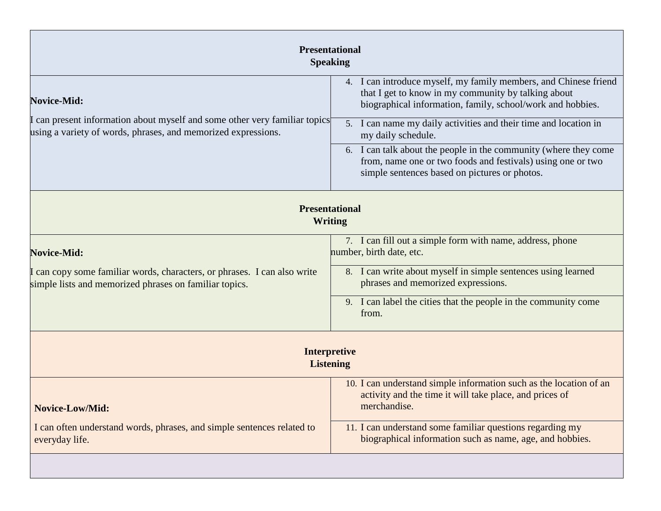| <b>Presentational</b><br><b>Speaking</b>                                                                                                                                              |  |  |  |
|---------------------------------------------------------------------------------------------------------------------------------------------------------------------------------------|--|--|--|
| 4. I can introduce myself, my family members, and Chinese friend<br>that I get to know in my community by talking about<br>biographical information, family, school/work and hobbies. |  |  |  |
| I can present information about myself and some other very familiar topics<br>5. I can name my daily activities and their time and location in<br>my daily schedule.                  |  |  |  |
| 6. I can talk about the people in the community (where they come<br>from, name one or two foods and festivals) using one or two<br>simple sentences based on pictures or photos.      |  |  |  |
| <b>Presentational</b><br><b>Writing</b>                                                                                                                                               |  |  |  |
| 7. I can fill out a simple form with name, address, phone<br>number, birth date, etc.                                                                                                 |  |  |  |
| 8. I can write about myself in simple sentences using learned<br>phrases and memorized expressions.                                                                                   |  |  |  |
| 9. I can label the cities that the people in the community come<br>from.                                                                                                              |  |  |  |
| <b>Interpretive</b><br><b>Listening</b>                                                                                                                                               |  |  |  |
| 10. I can understand simple information such as the location of an<br>activity and the time it will take place, and prices of<br>merchandise.                                         |  |  |  |
| 11. I can understand some familiar questions regarding my<br>biographical information such as name, age, and hobbies.                                                                 |  |  |  |
|                                                                                                                                                                                       |  |  |  |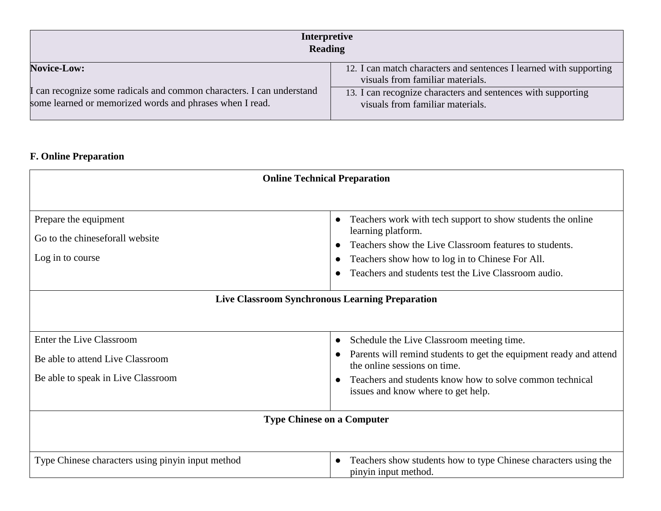| Interpretive<br><b>Reading</b>                                                                                                    |                                                                                                        |  |
|-----------------------------------------------------------------------------------------------------------------------------------|--------------------------------------------------------------------------------------------------------|--|
| <b>Novice-Low:</b>                                                                                                                | 12. I can match characters and sentences I learned with supporting<br>visuals from familiar materials. |  |
| I can recognize some radicals and common characters. I can understand<br>some learned or memorized words and phrases when I read. | 13. I can recognize characters and sentences with supporting<br>visuals from familiar materials.       |  |

# **F. Online Preparation**

| <b>Online Technical Preparation</b>                                                                                                    |                                                                                                                                                                                                                                                        |  |
|----------------------------------------------------------------------------------------------------------------------------------------|--------------------------------------------------------------------------------------------------------------------------------------------------------------------------------------------------------------------------------------------------------|--|
| Prepare the equipment<br>Go to the chineseforall website<br>Log in to course<br><b>Live Classroom Synchronous Learning Preparation</b> | Teachers work with tech support to show students the online<br>learning platform.<br>Teachers show the Live Classroom features to students.<br>Teachers show how to log in to Chinese For All.<br>Teachers and students test the Live Classroom audio. |  |
|                                                                                                                                        |                                                                                                                                                                                                                                                        |  |
| Enter the Live Classroom                                                                                                               | Schedule the Live Classroom meeting time.                                                                                                                                                                                                              |  |
| Be able to attend Live Classroom                                                                                                       | Parents will remind students to get the equipment ready and attend<br>the online sessions on time.                                                                                                                                                     |  |
| Be able to speak in Live Classroom                                                                                                     | Teachers and students know how to solve common technical<br>issues and know where to get help.                                                                                                                                                         |  |
| <b>Type Chinese on a Computer</b>                                                                                                      |                                                                                                                                                                                                                                                        |  |
| Type Chinese characters using pinyin input method                                                                                      | Teachers show students how to type Chinese characters using the<br>$\bullet$<br>pinyin input method.                                                                                                                                                   |  |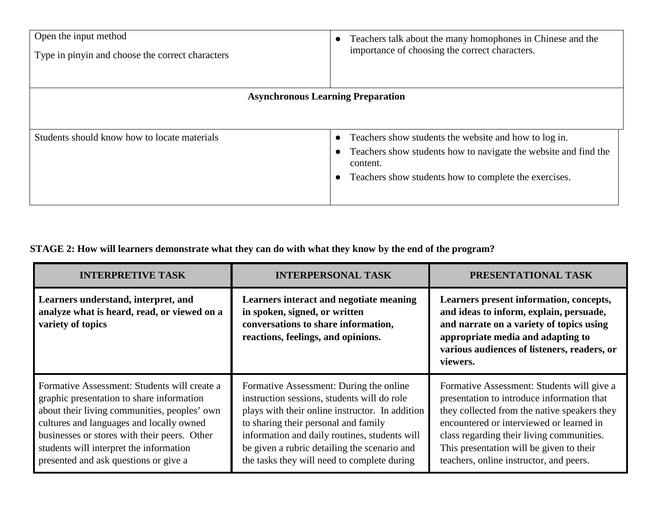| Open the input method<br>Type in pinyin and choose the correct characters | Teachers talk about the many homophones in Chinese and the<br>importance of choosing the correct characters.                                                                                  |
|---------------------------------------------------------------------------|-----------------------------------------------------------------------------------------------------------------------------------------------------------------------------------------------|
| <b>Asynchronous Learning Preparation</b>                                  |                                                                                                                                                                                               |
| Students should know how to locate materials                              | Teachers show students the website and how to log in.<br>Teachers show students how to navigate the website and find the<br>content.<br>Teachers show students how to complete the exercises. |

# **STAGE 2: How will learners demonstrate what they can do with what they know by the end of the program?**

| <b>INTERPRETIVE TASK</b>                                                                                                                                                                                                                                                                                                  | <b>INTERPERSONAL TASK</b>                                                                                                                                                                                                                                                                                                         | PRESENTATIONAL TASK                                                                                                                                                                                                                                                                                                      |
|---------------------------------------------------------------------------------------------------------------------------------------------------------------------------------------------------------------------------------------------------------------------------------------------------------------------------|-----------------------------------------------------------------------------------------------------------------------------------------------------------------------------------------------------------------------------------------------------------------------------------------------------------------------------------|--------------------------------------------------------------------------------------------------------------------------------------------------------------------------------------------------------------------------------------------------------------------------------------------------------------------------|
| Learners understand, interpret, and<br>analyze what is heard, read, or viewed on a<br>variety of topics                                                                                                                                                                                                                   | Learners interact and negotiate meaning<br>in spoken, signed, or written<br>conversations to share information,<br>reactions, feelings, and opinions.                                                                                                                                                                             | Learners present information, concepts,<br>and ideas to inform, explain, persuade,<br>and narrate on a variety of topics using<br>appropriate media and adapting to<br>various audiences of listeners, readers, or<br>viewers.                                                                                           |
| Formative Assessment: Students will create a<br>graphic presentation to share information<br>about their living communities, peoples' own<br>cultures and languages and locally owned<br>businesses or stores with their peers. Other<br>students will interpret the information<br>presented and ask questions or give a | Formative Assessment: During the online<br>instruction sessions, students will do role<br>plays with their online instructor. In addition<br>to sharing their personal and family<br>information and daily routines, students will<br>be given a rubric detailing the scenario and<br>the tasks they will need to complete during | Formative Assessment: Students will give a<br>presentation to introduce information that<br>they collected from the native speakers they<br>encountered or interviewed or learned in<br>class regarding their living communities.<br>This presentation will be given to their<br>teachers, online instructor, and peers. |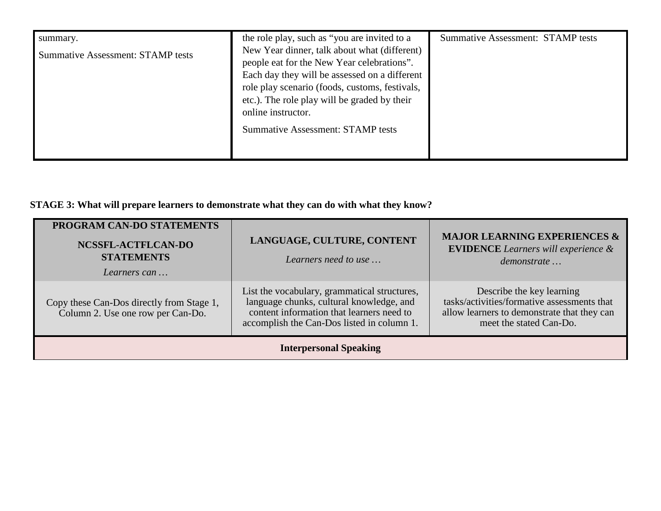| summary.                                 | the role play, such as "you are invited to a                                                                                                                                                                                                                                                                    | <b>Summative Assessment: STAMP tests</b> |
|------------------------------------------|-----------------------------------------------------------------------------------------------------------------------------------------------------------------------------------------------------------------------------------------------------------------------------------------------------------------|------------------------------------------|
| <b>Summative Assessment: STAMP tests</b> | New Year dinner, talk about what (different)<br>people eat for the New Year celebrations".<br>Each day they will be assessed on a different<br>role play scenario (foods, customs, festivals,<br>etc.). The role play will be graded by their<br>online instructor.<br><b>Summative Assessment: STAMP tests</b> |                                          |

# **STAGE 3: What will prepare learners to demonstrate what they can do with what they know?**

| PROGRAM CAN-DO STATEMENTS<br>NCSSFL-ACTFLCAN-DO<br><b>STATEMENTS</b><br>Learners can | LANGUAGE, CULTURE, CONTENT<br>Learners need to use                                                                                                                                  | <b>MAJOR LEARNING EXPERIENCES &amp;</b><br><b>EVIDENCE</b> Learners will experience &<br>demonstrate                                               |
|--------------------------------------------------------------------------------------|-------------------------------------------------------------------------------------------------------------------------------------------------------------------------------------|----------------------------------------------------------------------------------------------------------------------------------------------------|
| Copy these Can-Dos directly from Stage 1,<br>Column 2. Use one row per Can-Do.       | List the vocabulary, grammatical structures,<br>language chunks, cultural knowledge, and<br>content information that learners need to<br>accomplish the Can-Dos listed in column 1. | Describe the key learning<br>tasks/activities/formative assessments that<br>allow learners to demonstrate that they can<br>meet the stated Can-Do. |
| <b>Interpersonal Speaking</b>                                                        |                                                                                                                                                                                     |                                                                                                                                                    |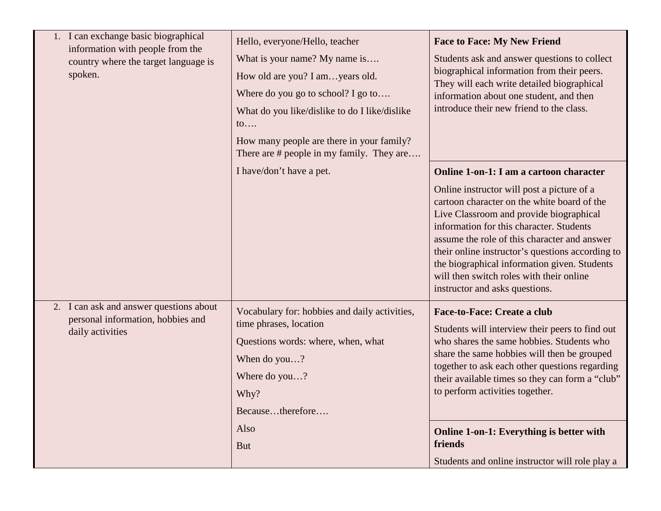| 1. I can exchange basic biographical<br>information with people from the<br>country where the target language is<br>spoken. | Hello, everyone/Hello, teacher<br>What is your name? My name is<br>How old are you? I amyears old.<br>Where do you go to school? I go to<br>What do you like/dislike to do I like/dislike<br>$\mathfrak{to} \dots$<br>How many people are there in your family?<br>There are # people in my family. They are | <b>Face to Face: My New Friend</b><br>Students ask and answer questions to collect<br>biographical information from their peers.<br>They will each write detailed biographical<br>information about one student, and then<br>introduce their new friend to the class.                                                                                                                                                                                         |
|-----------------------------------------------------------------------------------------------------------------------------|--------------------------------------------------------------------------------------------------------------------------------------------------------------------------------------------------------------------------------------------------------------------------------------------------------------|---------------------------------------------------------------------------------------------------------------------------------------------------------------------------------------------------------------------------------------------------------------------------------------------------------------------------------------------------------------------------------------------------------------------------------------------------------------|
|                                                                                                                             | I have/don't have a pet.                                                                                                                                                                                                                                                                                     | Online 1-on-1: I am a cartoon character<br>Online instructor will post a picture of a<br>cartoon character on the white board of the<br>Live Classroom and provide biographical<br>information for this character. Students<br>assume the role of this character and answer<br>their online instructor's questions according to<br>the biographical information given. Students<br>will then switch roles with their online<br>instructor and asks questions. |
| 2. I can ask and answer questions about<br>personal information, hobbies and<br>daily activities                            | Vocabulary for: hobbies and daily activities,<br>time phrases, location<br>Questions words: where, when, what<br>When do you?<br>Where do you?<br>Why?<br>Becausetherefore                                                                                                                                   | <b>Face-to-Face: Create a club</b><br>Students will interview their peers to find out<br>who shares the same hobbies. Students who<br>share the same hobbies will then be grouped<br>together to ask each other questions regarding<br>their available times so they can form a "club"<br>to perform activities together.                                                                                                                                     |
|                                                                                                                             | Also<br><b>But</b>                                                                                                                                                                                                                                                                                           | Online 1-on-1: Everything is better with<br>friends<br>Students and online instructor will role play a                                                                                                                                                                                                                                                                                                                                                        |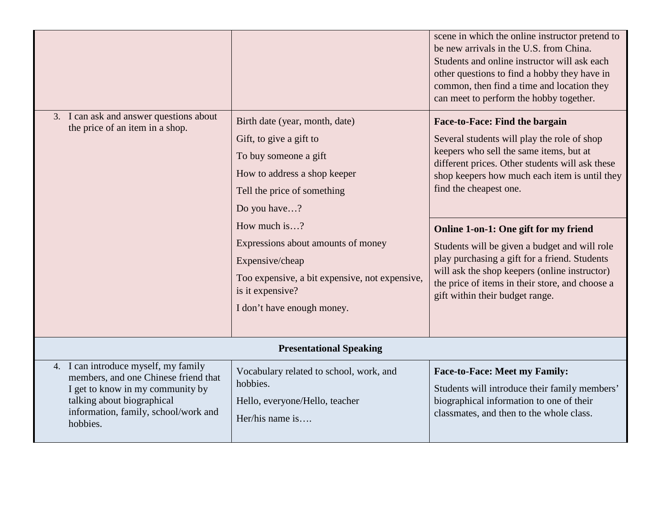|                                                                                                                                                                                                    |                                                                                                                                                                                                                                                                                                                                                | scene in which the online instructor pretend to<br>be new arrivals in the U.S. from China.<br>Students and online instructor will ask each<br>other questions to find a hobby they have in<br>common, then find a time and location they<br>can meet to perform the hobby together.                                                                                                                                                                                                                                                      |  |
|----------------------------------------------------------------------------------------------------------------------------------------------------------------------------------------------------|------------------------------------------------------------------------------------------------------------------------------------------------------------------------------------------------------------------------------------------------------------------------------------------------------------------------------------------------|------------------------------------------------------------------------------------------------------------------------------------------------------------------------------------------------------------------------------------------------------------------------------------------------------------------------------------------------------------------------------------------------------------------------------------------------------------------------------------------------------------------------------------------|--|
| 3. I can ask and answer questions about<br>the price of an item in a shop.                                                                                                                         | Birth date (year, month, date)<br>Gift, to give a gift to<br>To buy someone a gift<br>How to address a shop keeper<br>Tell the price of something<br>Do you have?<br>How much is?<br>Expressions about amounts of money<br>Expensive/cheap<br>Too expensive, a bit expensive, not expensive,<br>is it expensive?<br>I don't have enough money. | Face-to-Face: Find the bargain<br>Several students will play the role of shop<br>keepers who sell the same items, but at<br>different prices. Other students will ask these<br>shop keepers how much each item is until they<br>find the cheapest one.<br>Online 1-on-1: One gift for my friend<br>Students will be given a budget and will role<br>play purchasing a gift for a friend. Students<br>will ask the shop keepers (online instructor)<br>the price of items in their store, and choose a<br>gift within their budget range. |  |
| <b>Presentational Speaking</b>                                                                                                                                                                     |                                                                                                                                                                                                                                                                                                                                                |                                                                                                                                                                                                                                                                                                                                                                                                                                                                                                                                          |  |
| 4. I can introduce myself, my family<br>members, and one Chinese friend that<br>I get to know in my community by<br>talking about biographical<br>information, family, school/work and<br>hobbies. | Vocabulary related to school, work, and<br>hobbies.<br>Hello, everyone/Hello, teacher<br>Her/his name is                                                                                                                                                                                                                                       | <b>Face-to-Face: Meet my Family:</b><br>Students will introduce their family members'<br>biographical information to one of their<br>classmates, and then to the whole class.                                                                                                                                                                                                                                                                                                                                                            |  |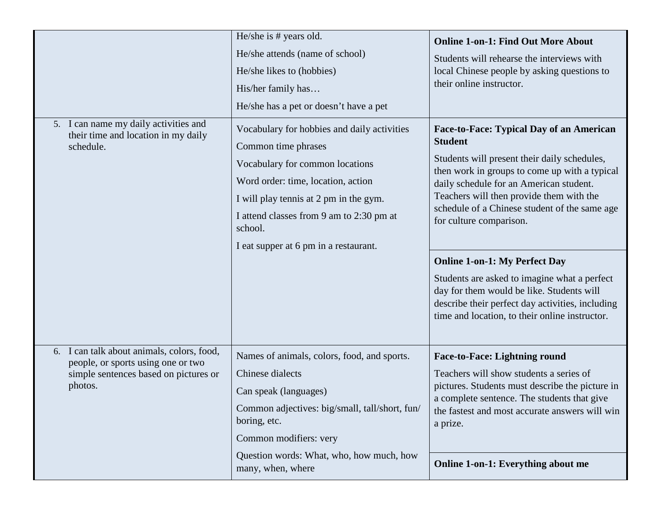|                                                                                                                                         | He/she is # years old.<br>He/she attends (name of school)<br>He/she likes to (hobbies)<br>His/her family has<br>He/she has a pet or doesn't have a pet                                                                                                                                | <b>Online 1-on-1: Find Out More About</b><br>Students will rehearse the interviews with<br>local Chinese people by asking questions to<br>their online instructor.                                                                                                                                                                                                                                                                                                                                                                                                        |
|-----------------------------------------------------------------------------------------------------------------------------------------|---------------------------------------------------------------------------------------------------------------------------------------------------------------------------------------------------------------------------------------------------------------------------------------|---------------------------------------------------------------------------------------------------------------------------------------------------------------------------------------------------------------------------------------------------------------------------------------------------------------------------------------------------------------------------------------------------------------------------------------------------------------------------------------------------------------------------------------------------------------------------|
| 5. I can name my daily activities and<br>their time and location in my daily<br>schedule.                                               | Vocabulary for hobbies and daily activities<br>Common time phrases<br>Vocabulary for common locations<br>Word order: time, location, action<br>I will play tennis at 2 pm in the gym.<br>I attend classes from 9 am to 2:30 pm at<br>school.<br>I eat supper at 6 pm in a restaurant. | Face-to-Face: Typical Day of an American<br><b>Student</b><br>Students will present their daily schedules,<br>then work in groups to come up with a typical<br>daily schedule for an American student.<br>Teachers will then provide them with the<br>schedule of a Chinese student of the same age<br>for culture comparison.<br><b>Online 1-on-1: My Perfect Day</b><br>Students are asked to imagine what a perfect<br>day for them would be like. Students will<br>describe their perfect day activities, including<br>time and location, to their online instructor. |
| I can talk about animals, colors, food,<br>6.<br>people, or sports using one or two<br>simple sentences based on pictures or<br>photos. | Names of animals, colors, food, and sports.<br>Chinese dialects<br>Can speak (languages)<br>Common adjectives: big/small, tall/short, fun/<br>boring, etc.<br>Common modifiers: very<br>Question words: What, who, how much, how<br>many, when, where                                 | <b>Face-to-Face: Lightning round</b><br>Teachers will show students a series of<br>pictures. Students must describe the picture in<br>a complete sentence. The students that give<br>the fastest and most accurate answers will win<br>a prize.<br><b>Online 1-on-1: Everything about me</b>                                                                                                                                                                                                                                                                              |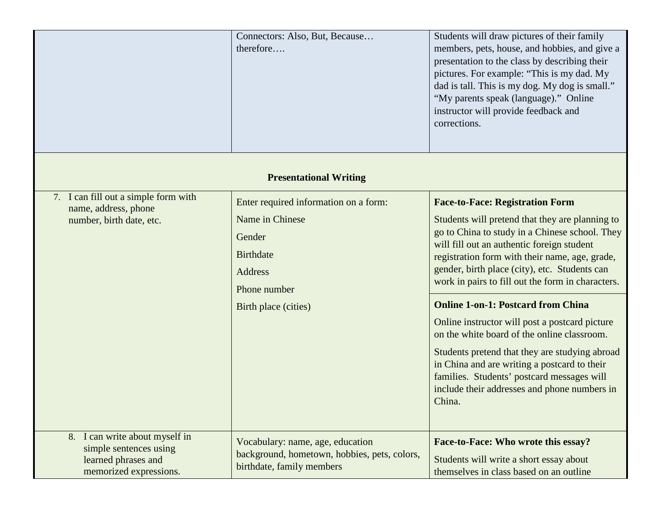|                                                                                                           | Connectors: Also, But, Because<br>therefore                                                                                                      | Students will draw pictures of their family<br>members, pets, house, and hobbies, and give a<br>presentation to the class by describing their<br>pictures. For example: "This is my dad. My<br>dad is tall. This is my dog. My dog is small."<br>"My parents speak (language)." Online<br>instructor will provide feedback and<br>corrections.                                                                                                                                                                                                                                                                                                                                                            |  |
|-----------------------------------------------------------------------------------------------------------|--------------------------------------------------------------------------------------------------------------------------------------------------|-----------------------------------------------------------------------------------------------------------------------------------------------------------------------------------------------------------------------------------------------------------------------------------------------------------------------------------------------------------------------------------------------------------------------------------------------------------------------------------------------------------------------------------------------------------------------------------------------------------------------------------------------------------------------------------------------------------|--|
| <b>Presentational Writing</b>                                                                             |                                                                                                                                                  |                                                                                                                                                                                                                                                                                                                                                                                                                                                                                                                                                                                                                                                                                                           |  |
| 7. I can fill out a simple form with<br>name, address, phone<br>number, birth date, etc.                  | Enter required information on a form:<br>Name in Chinese<br>Gender<br><b>Birthdate</b><br><b>Address</b><br>Phone number<br>Birth place (cities) | <b>Face-to-Face: Registration Form</b><br>Students will pretend that they are planning to<br>go to China to study in a Chinese school. They<br>will fill out an authentic foreign student<br>registration form with their name, age, grade,<br>gender, birth place (city), etc. Students can<br>work in pairs to fill out the form in characters.<br><b>Online 1-on-1: Postcard from China</b><br>Online instructor will post a postcard picture<br>on the white board of the online classroom.<br>Students pretend that they are studying abroad<br>in China and are writing a postcard to their<br>families. Students' postcard messages will<br>include their addresses and phone numbers in<br>China. |  |
| 8. I can write about myself in<br>simple sentences using<br>learned phrases and<br>memorized expressions. | Vocabulary: name, age, education<br>background, hometown, hobbies, pets, colors,<br>birthdate, family members                                    | Face-to-Face: Who wrote this essay?<br>Students will write a short essay about<br>themselves in class based on an outline                                                                                                                                                                                                                                                                                                                                                                                                                                                                                                                                                                                 |  |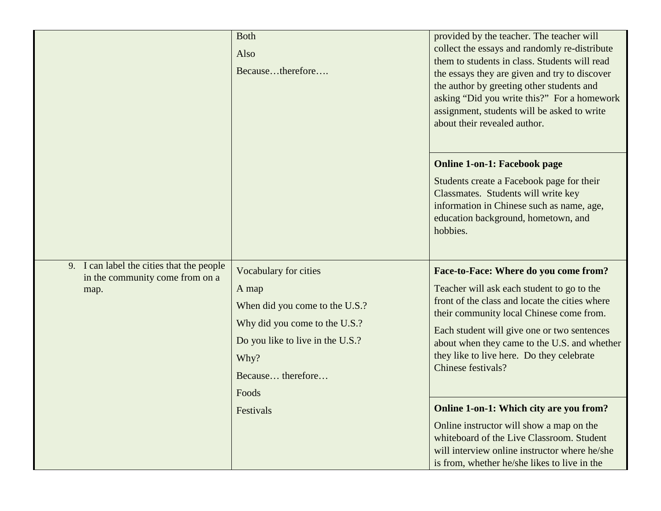|                                                                                      | <b>Both</b><br>Also<br>Becausetherefore                                                                                                                                     | provided by the teacher. The teacher will<br>collect the essays and randomly re-distribute<br>them to students in class. Students will read<br>the essays they are given and try to discover<br>the author by greeting other students and<br>asking "Did you write this?" For a homework<br>assignment, students will be asked to write<br>about their revealed author. |
|--------------------------------------------------------------------------------------|-----------------------------------------------------------------------------------------------------------------------------------------------------------------------------|-------------------------------------------------------------------------------------------------------------------------------------------------------------------------------------------------------------------------------------------------------------------------------------------------------------------------------------------------------------------------|
|                                                                                      |                                                                                                                                                                             | <b>Online 1-on-1: Facebook page</b><br>Students create a Facebook page for their<br>Classmates. Students will write key<br>information in Chinese such as name, age,<br>education background, hometown, and<br>hobbies.                                                                                                                                                 |
| 9. I can label the cities that the people<br>in the community come from on a<br>map. | Vocabulary for cities<br>A map<br>When did you come to the U.S.?<br>Why did you come to the U.S.?<br>Do you like to live in the U.S.?<br>Why?<br>Because therefore<br>Foods | Face-to-Face: Where do you come from?<br>Teacher will ask each student to go to the<br>front of the class and locate the cities where<br>their community local Chinese come from.<br>Each student will give one or two sentences<br>about when they came to the U.S. and whether<br>they like to live here. Do they celebrate<br>Chinese festivals?                     |
|                                                                                      | Festivals                                                                                                                                                                   | Online 1-on-1: Which city are you from?<br>Online instructor will show a map on the<br>whiteboard of the Live Classroom. Student<br>will interview online instructor where he/she<br>is from, whether he/she likes to live in the                                                                                                                                       |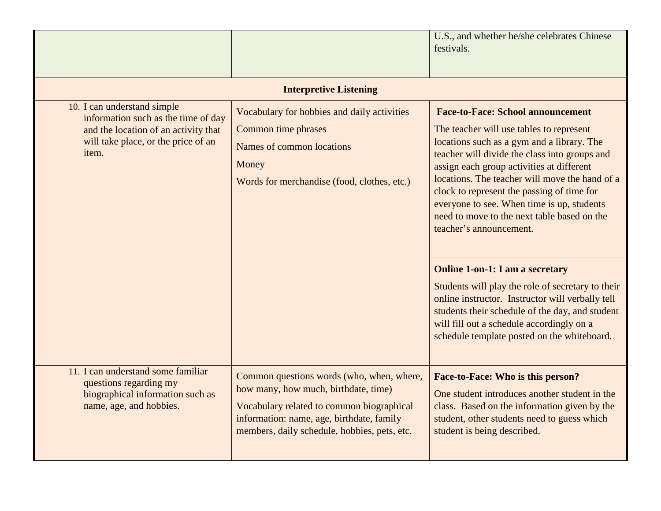|                                                                                                                                                            |                                                                                                                                                                                                                             | U.S., and whether he/she celebrates Chinese<br>festivals.                                                                                                                                                                                                                                                                                                                                                                                                |  |  |
|------------------------------------------------------------------------------------------------------------------------------------------------------------|-----------------------------------------------------------------------------------------------------------------------------------------------------------------------------------------------------------------------------|----------------------------------------------------------------------------------------------------------------------------------------------------------------------------------------------------------------------------------------------------------------------------------------------------------------------------------------------------------------------------------------------------------------------------------------------------------|--|--|
| <b>Interpretive Listening</b>                                                                                                                              |                                                                                                                                                                                                                             |                                                                                                                                                                                                                                                                                                                                                                                                                                                          |  |  |
| 10. I can understand simple<br>information such as the time of day<br>and the location of an activity that<br>will take place, or the price of an<br>item. | Vocabulary for hobbies and daily activities<br>Common time phrases<br>Names of common locations<br>Money<br>Words for merchandise (food, clothes, etc.)                                                                     | <b>Face-to-Face: School announcement</b><br>The teacher will use tables to represent<br>locations such as a gym and a library. The<br>teacher will divide the class into groups and<br>assign each group activities at different<br>locations. The teacher will move the hand of a<br>clock to represent the passing of time for<br>everyone to see. When time is up, students<br>need to move to the next table based on the<br>teacher's announcement. |  |  |
|                                                                                                                                                            |                                                                                                                                                                                                                             | <b>Online 1-on-1: I am a secretary</b><br>Students will play the role of secretary to their<br>online instructor. Instructor will verbally tell<br>students their schedule of the day, and student<br>will fill out a schedule accordingly on a<br>schedule template posted on the whiteboard.                                                                                                                                                           |  |  |
| 11. I can understand some familiar<br>questions regarding my<br>biographical information such as<br>name, age, and hobbies.                                | Common questions words (who, when, where,<br>how many, how much, birthdate, time)<br>Vocabulary related to common biographical<br>information: name, age, birthdate, family<br>members, daily schedule, hobbies, pets, etc. | Face-to-Face: Who is this person?<br>One student introduces another student in the<br>class. Based on the information given by the<br>student, other students need to guess which<br>student is being described.                                                                                                                                                                                                                                         |  |  |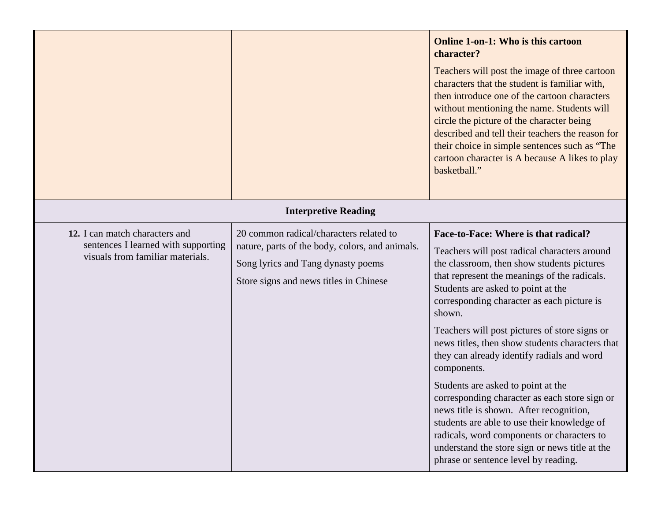|                                                                                                           |                                                                                                                                                                            | <b>Online 1-on-1: Who is this cartoon</b><br>character?<br>Teachers will post the image of three cartoon<br>characters that the student is familiar with,<br>then introduce one of the cartoon characters<br>without mentioning the name. Students will<br>circle the picture of the character being<br>described and tell their teachers the reason for<br>their choice in simple sentences such as "The<br>cartoon character is A because A likes to play<br>basketball."                                                                                                                                                                                                                                                                                                |
|-----------------------------------------------------------------------------------------------------------|----------------------------------------------------------------------------------------------------------------------------------------------------------------------------|----------------------------------------------------------------------------------------------------------------------------------------------------------------------------------------------------------------------------------------------------------------------------------------------------------------------------------------------------------------------------------------------------------------------------------------------------------------------------------------------------------------------------------------------------------------------------------------------------------------------------------------------------------------------------------------------------------------------------------------------------------------------------|
| <b>Interpretive Reading</b>                                                                               |                                                                                                                                                                            |                                                                                                                                                                                                                                                                                                                                                                                                                                                                                                                                                                                                                                                                                                                                                                            |
| 12. I can match characters and<br>sentences I learned with supporting<br>visuals from familiar materials. | 20 common radical/characters related to<br>nature, parts of the body, colors, and animals.<br>Song lyrics and Tang dynasty poems<br>Store signs and news titles in Chinese | Face-to-Face: Where is that radical?<br>Teachers will post radical characters around<br>the classroom, then show students pictures<br>that represent the meanings of the radicals.<br>Students are asked to point at the<br>corresponding character as each picture is<br>shown.<br>Teachers will post pictures of store signs or<br>news titles, then show students characters that<br>they can already identify radials and word<br>components.<br>Students are asked to point at the<br>corresponding character as each store sign or<br>news title is shown. After recognition,<br>students are able to use their knowledge of<br>radicals, word components or characters to<br>understand the store sign or news title at the<br>phrase or sentence level by reading. |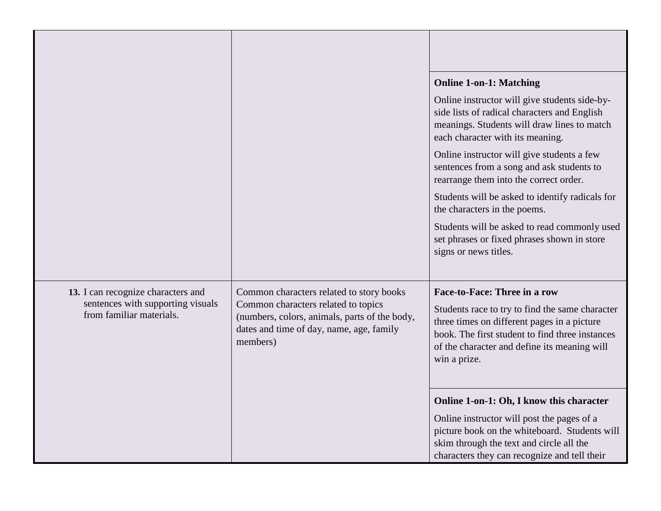|                                                                                                     |                                                                                                                                                                                          | <b>Online 1-on-1: Matching</b>                                                                                                                                                                                                                           |
|-----------------------------------------------------------------------------------------------------|------------------------------------------------------------------------------------------------------------------------------------------------------------------------------------------|----------------------------------------------------------------------------------------------------------------------------------------------------------------------------------------------------------------------------------------------------------|
|                                                                                                     |                                                                                                                                                                                          | Online instructor will give students side-by-<br>side lists of radical characters and English<br>meanings. Students will draw lines to match<br>each character with its meaning.                                                                         |
|                                                                                                     |                                                                                                                                                                                          | Online instructor will give students a few<br>sentences from a song and ask students to<br>rearrange them into the correct order.                                                                                                                        |
|                                                                                                     |                                                                                                                                                                                          | Students will be asked to identify radicals for<br>the characters in the poems.                                                                                                                                                                          |
|                                                                                                     |                                                                                                                                                                                          | Students will be asked to read commonly used<br>set phrases or fixed phrases shown in store<br>signs or news titles.                                                                                                                                     |
| 13. I can recognize characters and<br>sentences with supporting visuals<br>from familiar materials. | Common characters related to story books<br>Common characters related to topics<br>(numbers, colors, animals, parts of the body,<br>dates and time of day, name, age, family<br>members) | <b>Face-to-Face: Three in a row</b><br>Students race to try to find the same character<br>three times on different pages in a picture<br>book. The first student to find three instances<br>of the character and define its meaning will<br>win a prize. |
|                                                                                                     |                                                                                                                                                                                          | Online 1-on-1: Oh, I know this character                                                                                                                                                                                                                 |
|                                                                                                     |                                                                                                                                                                                          | Online instructor will post the pages of a<br>picture book on the whiteboard. Students will<br>skim through the text and circle all the<br>characters they can recognize and tell their                                                                  |